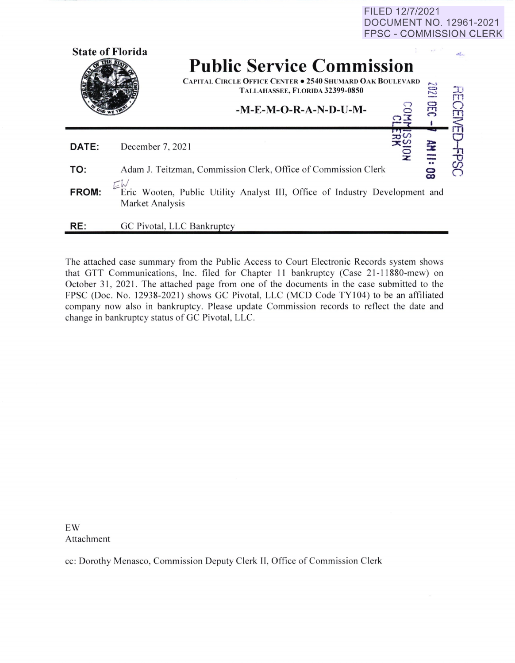FILED 12/7/2021 DOCUMENT NO. 12961-2021 FPSC - COMMISSION CLERK

|       | <b>State of Florida</b>                                                                        | <b>Public Service Commission</b><br><b>CAPITAL CIRCLE OFFICE CENTER . 2540 SHUMARD OAK BOULEVARD</b><br>TALLAHASSEE, FLORIDA 32399-0850<br>-M-E-M-O-R-A-N-D-U-M- |  | 1202<br>OEC      | $\Omega_{\rm H}$ |
|-------|------------------------------------------------------------------------------------------------|------------------------------------------------------------------------------------------------------------------------------------------------------------------|--|------------------|------------------|
| DATE: | December 7, 2021                                                                               |                                                                                                                                                                  |  |                  |                  |
| TO:   | Adam J. Teitzman, Commission Clerk, Office of Commission Clerk                                 |                                                                                                                                                                  |  | <b>AH II: 08</b> |                  |
| FROM: | Eric Wooten, Public Utility Analyst III, Office of Industry Development and<br>Market Analysis |                                                                                                                                                                  |  |                  |                  |
| RE:   |                                                                                                | GC Pivotal, LLC Bankruptcy                                                                                                                                       |  |                  |                  |

The attached case summary from the Public Access to Court Electronic Records system shows that GTT Communications, Inc. filed for Chapter 11 bankruptcy (Case 21-11880-mew) on October 31, 2021. The attached page from one of the documents in the case submitted to the FPSC (Doc. No. 12938-2021) shows GC Pivotal, LLC (MCD Code TY104) to be an affiliated company now also in bankruptcy. Please update Commission records to reflect the date and change in bankruptcy status of GC Pivotal, LLC.

EW Attachment

cc: Dorothy Menasco, Commission Deputy Clerk II, Office of Commission Clerk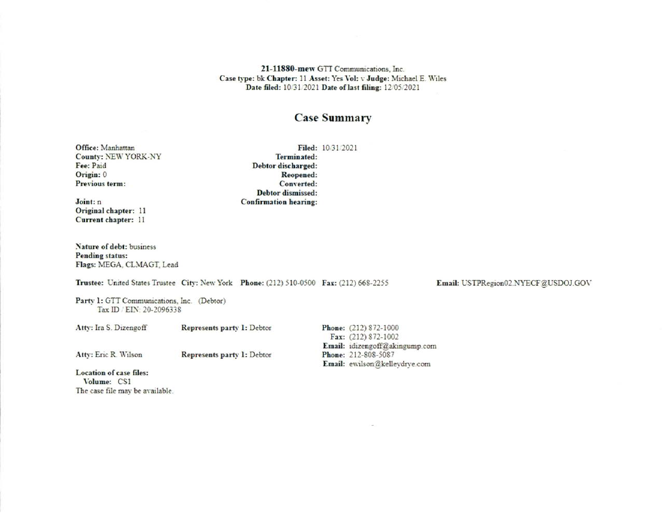21-11880-mew GTT Communications, Inc. Case type: bk Chapter: 11 Asset: Yes Vol: v Judge: Michael E. Wiles Date filed: 10/31/2021 Date of last filing: 12/05/2021

## **Case Summary**

Office: Manhattan **County: NEW YORK-NY** Fee: Paid Origin: 0 Previous term:

Joint: n Original chapter: 11 Current chapter: 11

Nature of debt: business **Pending status:** Flags: MEGA, CLMAGT, Lead

Trustee: United States Trustee City: New York Phone: (212) 510-0500 Fax: (212) 668-2255

Party 1: GTT Communications, Inc. (Debtor) Tax ID / EIN: 20-2096338

Atty: Ira S. Dizengoff Represents party 1: Debtor

Atty: Eric R. Wilson

Represents party 1: Debtor

Phone: (212) 872-1000 Fax: (212) 872-1002 Email: idizengoff@akingump.com Phone: 212-808-5087 Email: ewilson@kelleydrye.com

Location of case files: Volume: CS1 The case file may be available.

Filed: 10/31/2021 Terminated: Debtor discharged: Reopened: Converted: **Debtor** dismissed: **Confirmation hearing:** 

Email: USTPRegion02.NYECF@USDOJ.GOV